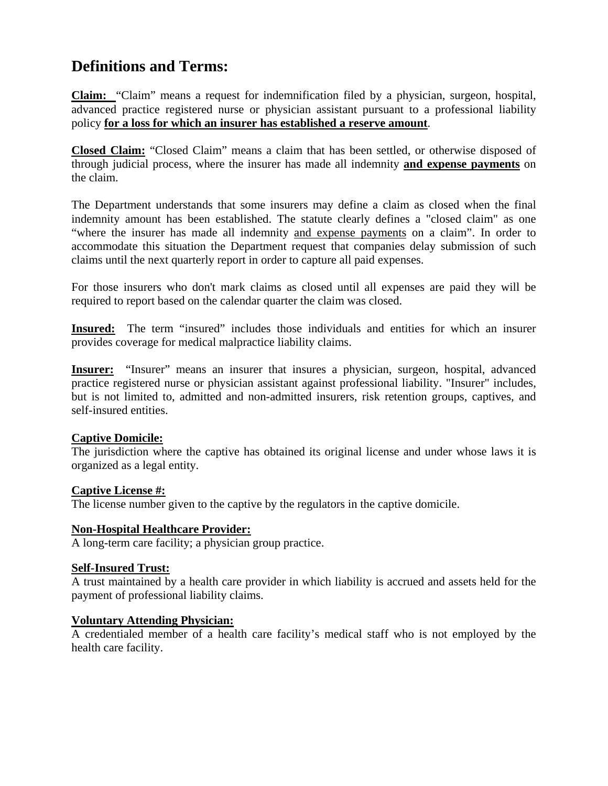# **Definitions and Terms:**

**Claim:** "Claim" means a request for indemnification filed by a physician, surgeon, hospital, advanced practice registered nurse or physician assistant pursuant to a professional liability policy **for a loss for which an insurer has established a reserve amount**.

**Closed Claim:** "Closed Claim" means a claim that has been settled, or otherwise disposed of through judicial process, where the insurer has made all indemnity **and expense payments** on the claim.

The Department understands that some insurers may define a claim as closed when the final indemnity amount has been established. The statute clearly defines a "closed claim" as one "where the insurer has made all indemnity and expense payments on a claim". In order to accommodate this situation the Department request that companies delay submission of such claims until the next quarterly report in order to capture all paid expenses.

For those insurers who don't mark claims as closed until all expenses are paid they will be required to report based on the calendar quarter the claim was closed.

**Insured:** The term "insured" includes those individuals and entities for which an insurer provides coverage for medical malpractice liability claims.

**Insurer:** "Insurer" means an insurer that insures a physician, surgeon, hospital, advanced practice registered nurse or physician assistant against professional liability. "Insurer" includes, but is not limited to, admitted and non-admitted insurers, risk retention groups, captives, and self-insured entities.

#### **Captive Domicile:**

The jurisdiction where the captive has obtained its original license and under whose laws it is organized as a legal entity.

#### **Captive License #:**

The license number given to the captive by the regulators in the captive domicile.

#### **Non-Hospital Healthcare Provider:**

A long-term care facility; a physician group practice.

#### **Self-Insured Trust:**

A trust maintained by a health care provider in which liability is accrued and assets held for the payment of professional liability claims.

#### **Voluntary Attending Physician:**

A credentialed member of a health care facility's medical staff who is not employed by the health care facility.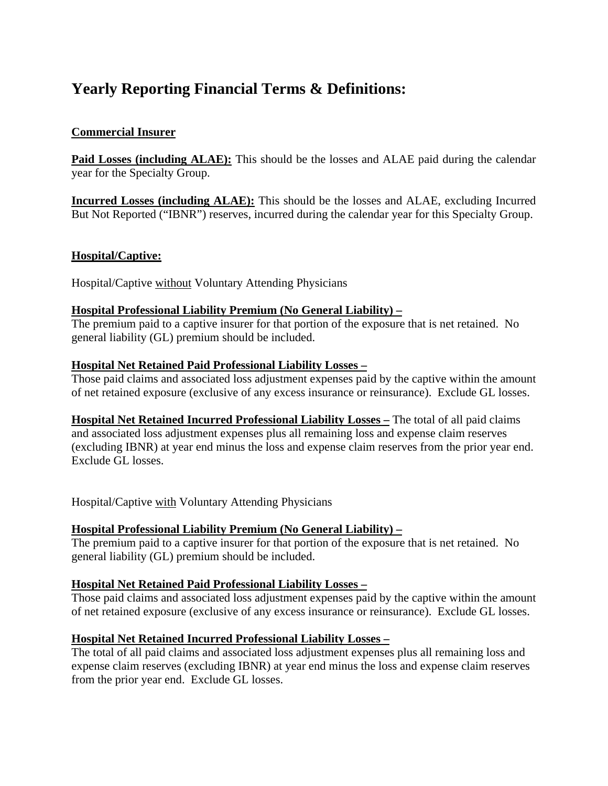## **Yearly Reporting Financial Terms & Definitions:**

### **Commercial Insurer**

**Paid Losses (including ALAE):** This should be the losses and ALAE paid during the calendar year for the Specialty Group.

**Incurred Losses (including ALAE):** This should be the losses and ALAE, excluding Incurred But Not Reported ("IBNR") reserves, incurred during the calendar year for this Specialty Group.

#### **Hospital/Captive:**

Hospital/Captive without Voluntary Attending Physicians

#### **Hospital Professional Liability Premium (No General Liability) –**

The premium paid to a captive insurer for that portion of the exposure that is net retained. No general liability (GL) premium should be included.

#### **Hospital Net Retained Paid Professional Liability Losses –**

Those paid claims and associated loss adjustment expenses paid by the captive within the amount of net retained exposure (exclusive of any excess insurance or reinsurance). Exclude GL losses.

**Hospital Net Retained Incurred Professional Liability Losses –** The total of all paid claims and associated loss adjustment expenses plus all remaining loss and expense claim reserves (excluding IBNR) at year end minus the loss and expense claim reserves from the prior year end. Exclude GL losses.

Hospital/Captive with Voluntary Attending Physicians

## **Hospital Professional Liability Premium (No General Liability) –**

The premium paid to a captive insurer for that portion of the exposure that is net retained. No general liability (GL) premium should be included.

#### **Hospital Net Retained Paid Professional Liability Losses –**

Those paid claims and associated loss adjustment expenses paid by the captive within the amount of net retained exposure (exclusive of any excess insurance or reinsurance). Exclude GL losses.

#### **Hospital Net Retained Incurred Professional Liability Losses –**

The total of all paid claims and associated loss adjustment expenses plus all remaining loss and expense claim reserves (excluding IBNR) at year end minus the loss and expense claim reserves from the prior year end. Exclude GL losses.